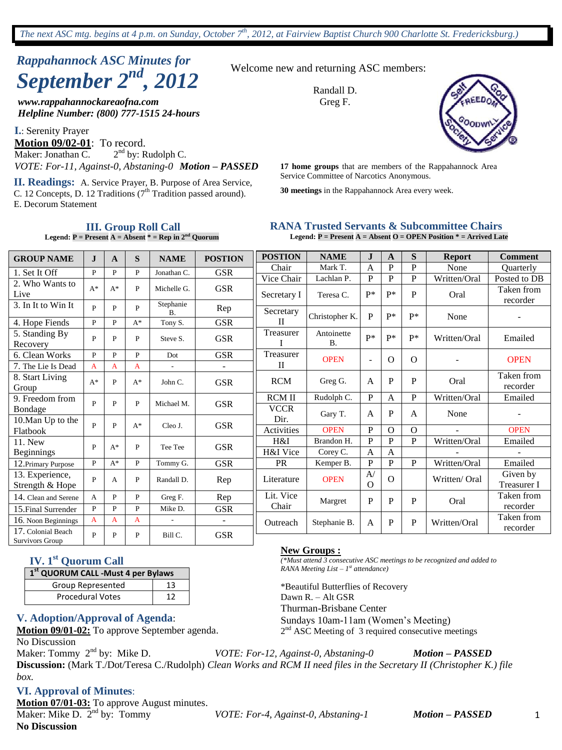# *Rappahannock ASC Minutes for September 2nd , 2012*

*www.rappahannockareaofna.com Helpline Number: (800) 777-1515 24-hours*

**I.**: Serenity Prayer **Motion 09/02-01**: To record. Maker: Jonathan C.  $2<sup>nd</sup>$  by: Rudolph C. *VOTE: For-11, Against-0, Abstaning-0 Motion – PASSED* **17 home groups** that are members of the Rappahannock Area

Service Committee of Narcotics Anonymous. **II. Readings:** A. Service Prayer, B. Purpose of Area Service, C. 12 Concepts, D. 12 Traditions  $(7<sup>th</sup>$  Tradition passed around). E. Decorum Statement

**III. Group Roll Call Legend:**  $P =$  Present  $A =$  Absent  $* =$  Rep in  $2^{nd}$  Quorum Welcome new and returning ASC members:

Randall D. Greg F.



**30 meetings** in the Rappahannock Area every week.

### **RANA Trusted Servants & Subcommittee Chairs**

**Legend: P = Present A = Absent O = OPEN Position \* = Arrived Late**

| <b>GROUP NAME</b>                            | $\mathbf I$  | A            | S     | <b>NAME</b>              | <b>POSTION</b> | <b>POSTION</b> | <b>NAME</b>             | J.             | A            | S              | <b>Report</b> | <b>Comment</b>                 |
|----------------------------------------------|--------------|--------------|-------|--------------------------|----------------|----------------|-------------------------|----------------|--------------|----------------|---------------|--------------------------------|
| 1. Set It Off                                | $\mathbf{P}$ | $\mathbf{p}$ | P     | Jonathan C.              | <b>GSR</b>     | Chair          | Mark T.                 | $\mathbf{A}$   | $\mathbf{P}$ | P              | None          | <b>Ouarterly</b>               |
| 2. Who Wants to                              |              |              |       |                          |                | Vice Chair     | Lachlan P.              | P              | P            | P              | Written/Oral  | Posted to DB                   |
| Live                                         | $A^*$        | $A^*$        | P     | Michelle G.              | <b>GSR</b>     | Secretary I    | Teresa C.               | $P^*$          | $P^*$        | P              | Oral          | Taken from<br>recorder         |
| 3. In It to Win It                           | $\mathbf{P}$ | P            | P     | Stephanie<br>Β.          | Rep            | Secretary      | Christopher K.          | P              | $P*$         | $P*$           | None          | $\overline{\phantom{a}}$       |
| 4. Hope Fiends                               | $\mathbf{P}$ | P            | $A^*$ | Tony S.                  | <b>GSR</b>     | $\mathbf{H}$   |                         |                |              |                |               |                                |
| 5. Standing By<br>Recovery                   | P            | P            | P     | Steve S.                 | <b>GSR</b>     | Treasurer      | Antoinette<br><b>B.</b> | p*             | $p*$         | $P*$           | Written/Oral  | Emailed                        |
| 6. Clean Works                               | P            | P            | P     | Dot                      | <b>GSR</b>     | Treasurer      | <b>OPEN</b>             | $\blacksquare$ | $\Omega$     | $\Omega$       |               | <b>OPEN</b>                    |
| 7. The Lie Is Dead                           | A            | A            | A     | $\overline{a}$           |                | $\mathbf{I}$   |                         |                |              |                |               |                                |
| 8. Start Living<br>Group                     | $A^*$        | P            | $A^*$ | John C.                  | <b>GSR</b>     | <b>RCM</b>     | Greg G.                 | $\mathbf{A}$   | P            | P              | Oral          | Taken from<br>recorder         |
| 9. Freedom from                              | $\mathbf{P}$ | P            |       |                          |                | <b>RCM II</b>  | Rudolph C.              | P              | $\mathbf{A}$ | P              | Written/Oral  | Emailed                        |
| Bondage                                      |              |              | P     | Michael M.               | <b>GSR</b>     | <b>VCCR</b>    | Gary T.                 | A              | P            | $\mathsf{A}$   | None          |                                |
| 10. Man Up to the                            | P            | P            | $A^*$ | Cleo J.                  | <b>GSR</b>     | Dir.           |                         |                |              |                |               |                                |
| Flatbook                                     |              |              |       |                          |                | Activities     | <b>OPEN</b>             | $\mathbf P$    | $\Omega$     | $\overline{O}$ |               | <b>OPEN</b>                    |
| 11. New                                      | P            | $A^*$        | P     | Tee Tee                  | <b>GSR</b>     | H&I            | Brandon H.              | P              | P            | P              | Written/Oral  | Emailed                        |
| <b>Beginnings</b>                            |              |              |       |                          |                | H&I Vice       | Corey C.                | $\mathsf{A}$   | $\mathsf{A}$ |                |               |                                |
| 12. Primary Purpose                          | $\mathbf{P}$ | $A^*$        | P     | Tommy G.                 | <b>GSR</b>     | <b>PR</b>      | Kemper B.               | P              | P            | P              | Written/Oral  | Emailed                        |
| 13. Experience,<br>Strength & Hope           | P            | А            | P     | Randall D.               | Rep            | Literature     | <b>OPEN</b>             | A/<br>$\Omega$ | $\Omega$     |                | Written/Oral  | Given by<br><b>Treasurer I</b> |
| 14. Clean and Serene                         | A            | P            | P     | Greg F.                  | Rep            | Lit. Vice      | Margret                 | P              | P            | P              | Oral          | Taken from                     |
| 15. Final Surrender                          | $\mathbf{P}$ | P            | P     | Mike D.                  | <b>GSR</b>     | Chair          |                         |                |              |                |               | recorder                       |
| 16. Noon Beginnings                          | A            | A            | A     | $\overline{\phantom{a}}$ |                | Outreach       | Stephanie B.            | A              | P            | $\mathbf{P}$   | Written/Oral  | Taken from                     |
| 17. Colonial Beach<br><b>Survivors Group</b> | P            | P            | P     | Bill C.                  | <b>GSR</b>     |                |                         |                |              |                |               | recorder                       |

# **IV. 1st Quorum Call**

| 1st QUORUM CALL - Must 4 per Bylaws |    |  |  |  |  |
|-------------------------------------|----|--|--|--|--|
| Group Represented                   | 13 |  |  |  |  |
| <b>Procedural Votes</b>             | 12 |  |  |  |  |

#### **V. Adoption/Approval of Agenda**:

**Motion 09/01-02:** To approve September agenda.

No Discussion

*box.*

Maker: Tommy 2<sup>nd</sup> by: Mike D. nd by: Mike D. *VOTE: For-12, Against-0, Abstaning-0 Motion – PASSED* **Discussion:** (Mark T./Dot/Teresa C./Rudolph) *Clean Works and RCM II need files in the Secretary II (Christopher K.) file* 

#### **VI. Approval of Minutes**:

**Motion 07/01-03:** To approve August minutes. Maker: Mike D.  $2<sup>nd</sup>$  by: Tommy

nd by: Tommy *VOTE: For-4, Against-0, Abstaning-1 Motion – PASSED*

1

#### **New Groups :**

*(\*Must attend 3 consecutive ASC meetings to be recognized and added to RANA Meeting List – 1 st attendance)*

\*Beautiful Butterflies of Recovery Dawn R. – Alt GSR Thurman-Brisbane Center Sundays 10am-11am (Women's Meeting) 2<sup>nd</sup> ASC Meeting of 3 required consecutive meetings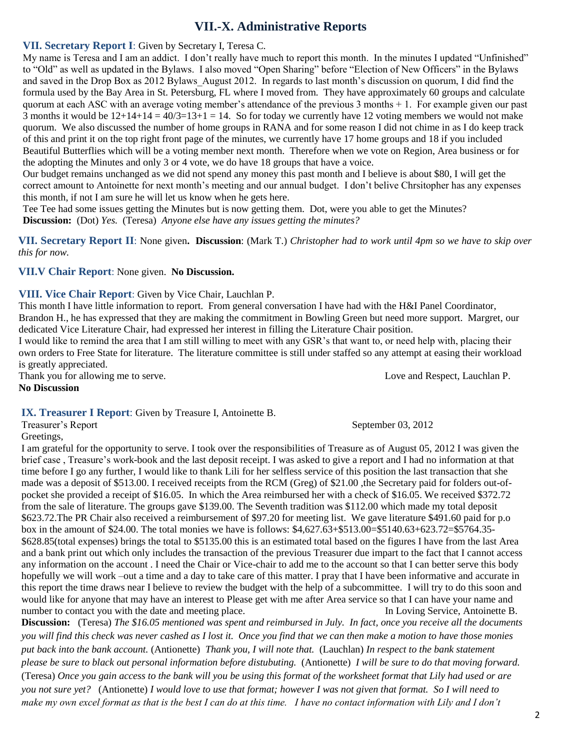# **VII.-X. Administrative Reports**

#### **VII. Secretary Report I**: Given by Secretary I, Teresa C.

My name is Teresa and I am an addict. I don't really have much to report this month. In the minutes I updated "Unfinished" to "Old" as well as updated in the Bylaws. I also moved "Open Sharing" before "Election of New Officers" in the Bylaws and saved in the Drop Box as 2012 Bylaws\_August 2012. In regards to last month's discussion on quorum, I did find the formula used by the Bay Area in St. Petersburg, FL where I moved from. They have approximately 60 groups and calculate quorum at each ASC with an average voting member's attendance of the previous 3 months + 1. For example given our past 3 months it would be  $12+14+14 = 40/3=13+1 = 14$ . So for today we currently have 12 voting members we would not make quorum. We also discussed the number of home groups in RANA and for some reason I did not chime in as I do keep track of this and print it on the top right front page of the minutes, we currently have 17 home groups and 18 if you included Beautiful Butterflies which will be a voting member next month. Therefore when we vote on Region, Area business or for the adopting the Minutes and only 3 or 4 vote, we do have 18 groups that have a voice.

Our budget remains unchanged as we did not spend any money this past month and I believe is about \$80, I will get the correct amount to Antoinette for next month's meeting and our annual budget. I don't belive Chrsitopher has any expenses this month, if not I am sure he will let us know when he gets here.

Tee Tee had some issues getting the Minutes but is now getting them. Dot, were you able to get the Minutes? **Discussion:** (Dot) *Yes.* (Teresa) *Anyone else have any issues getting the minutes?*

**VII. Secretary Report II**: None given**. Discussion**: (Mark T.) *Christopher had to work until 4pm so we have to skip over this for now.*

#### **VII.V Chair Report**: None given. **No Discussion.**

**VIII. Vice Chair Report**: Given by Vice Chair, Lauchlan P.

This month I have little information to report. From general conversation I have had with the H&I Panel Coordinator, Brandon H., he has expressed that they are making the commitment in Bowling Green but need more support. Margret, our dedicated Vice Literature Chair, had expressed her interest in filling the Literature Chair position.

I would like to remind the area that I am still willing to meet with any GSR's that want to, or need help with, placing their own orders to Free State for literature. The literature committee is still under staffed so any attempt at easing their workload is greatly appreciated.

Thank you for allowing me to serve. Love and Respect, Lauchlan P. **No Discussion**

#### **IX. Treasurer I Report**: Given by Treasure I, Antoinette B.

Treasurer's Report September 03, 2012

Greetings,

I am grateful for the opportunity to serve. I took over the responsibilities of Treasure as of August 05, 2012 I was given the brief case , Treasure's work-book and the last deposit receipt. I was asked to give a report and I had no information at that time before I go any further, I would like to thank Lili for her selfless service of this position the last transaction that she made was a deposit of \$513.00. I received receipts from the RCM (Greg) of \$21.00 ,the Secretary paid for folders out-ofpocket she provided a receipt of \$16.05. In which the Area reimbursed her with a check of \$16.05. We received \$372.72 from the sale of literature. The groups gave \$139.00. The Seventh tradition was \$112.00 which made my total deposit \$623.72.The PR Chair also received a reimbursement of \$97.20 for meeting list. We gave literature \$491.60 paid for p.o box in the amount of \$24.00. The total monies we have is follows: \$4,627.63+\$513.00=\$5140.63+623.72=\$5764.35- \$628.85(total expenses) brings the total to \$5135.00 this is an estimated total based on the figures I have from the last Area and a bank print out which only includes the transaction of the previous Treasurer due impart to the fact that I cannot access any information on the account . I need the Chair or Vice-chair to add me to the account so that I can better serve this body hopefully we will work –out a time and a day to take care of this matter. I pray that I have been informative and accurate in this report the time draws near I believe to review the budget with the help of a subcommittee. I will try to do this soon and would like for anyone that may have an interest to Please get with me after Area service so that I can have your name and number to contact you with the date and meeting place. In Loving Service, Antoinette B.

**Discussion:** (Teresa) *The \$16.05 mentioned was spent and reimbursed in July. In fact, once you receive all the documents you will find this check was never cashed as I lost it. Once you find that we can then make a motion to have those monies put back into the bank account.* (Antionette) *Thank you, I will note that.* (Lauchlan) *In respect to the bank statement please be sure to black out personal information before distubuting.* (Antionette) *I will be sure to do that moving forward.*  (Teresa) *Once you gain access to the bank will you be using this format of the worksheet format that Lily had used or are you not sure yet?* (Antionette) *I would love to use that format; however I was not given that format. So I will need to make my own excel format as that is the best I can do at this time. I have no contact information with Lily and I don't*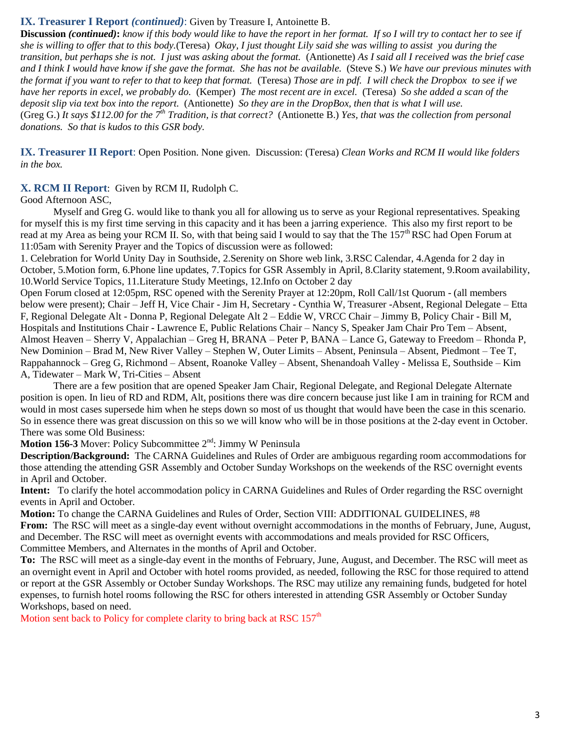#### **IX. Treasurer I Report** *(continued)*: Given by Treasure I, Antoinette B.

**Discussion** *(continued)***:** *know if this body would like to have the report in her format. If so I will try to contact her to see if she is willing to offer that to this body.*(Teresa) *Okay, I just thought Lily said she was willing to assist you during the transition, but perhaps she is not. I just was asking about the format.* (Antionette) *As I said all I received was the brief case and I think I would have know if she gave the format. She has not be available.* (Steve S.) *We have our previous minutes with the format if you want to refer to that to keep that format.* (Teresa) *Those are in pdf. I will check the Dropbox to see if we have her reports in excel, we probably do.* (Kemper) *The most recent are in excel.* (Teresa) *So she added a scan of the deposit slip via text box into the report.* (Antionette) *So they are in the DropBox, then that is what I will use.* (Greg G.) *It says \$112.00 for the 7th Tradition, is that correct?* (Antionette B.) *Yes, that was the collection from personal donations. So that is kudos to this GSR body.*

**IX. Treasurer II Report**: Open Position. None given. Discussion: (Teresa) *Clean Works and RCM II would like folders in the box.*

#### **X. RCM II Report**: Given by RCM II, Rudolph C.

Good Afternoon ASC,

Myself and Greg G. would like to thank you all for allowing us to serve as your Regional representatives. Speaking for myself this is my first time serving in this capacity and it has been a jarring experience. This also my first report to be read at my Area as being your RCM II. So, with that being said I would to say that the The  $157<sup>th</sup> RSC$  had Open Forum at 11:05am with Serenity Prayer and the Topics of discussion were as followed:

1. Celebration for World Unity Day in Southside, 2.Serenity on Shore web link, 3.RSC Calendar, 4.Agenda for 2 day in October, 5.Motion form, 6.Phone line updates, 7.Topics for GSR Assembly in April, 8.Clarity statement, 9.Room availability, 10.World Service Topics, 11.Literature Study Meetings, 12.Info on October 2 day

Open Forum closed at 12:05pm, RSC opened with the Serenity Prayer at 12:20pm, Roll Call/1st Quorum - (all members below were present); Chair – Jeff H, Vice Chair - Jim H, Secretary - Cynthia W, Treasurer -Absent, Regional Delegate – Etta F, Regional Delegate Alt - Donna P, Regional Delegate Alt 2 – Eddie W, VRCC Chair – Jimmy B, Policy Chair - Bill M, Hospitals and Institutions Chair - Lawrence E, Public Relations Chair – Nancy S, Speaker Jam Chair Pro Tem – Absent, Almost Heaven – Sherry V, Appalachian – Greg H, BRANA – Peter P, BANA – Lance G, Gateway to Freedom – Rhonda P, New Dominion – Brad M, New River Valley – Stephen W, Outer Limits – Absent, Peninsula – Absent, Piedmont – Tee T, Rappahannock – Greg G, Richmond – Absent, Roanoke Valley – Absent, Shenandoah Valley - Melissa E, Southside – Kim A, Tidewater – Mark W, Tri-Cities – Absent

There are a few position that are opened Speaker Jam Chair, Regional Delegate, and Regional Delegate Alternate position is open. In lieu of RD and RDM, Alt, positions there was dire concern because just like I am in training for RCM and would in most cases supersede him when he steps down so most of us thought that would have been the case in this scenario. So in essence there was great discussion on this so we will know who will be in those positions at the 2-day event in October. There was some Old Business:

**Motion 156-3** Mover: Policy Subcommittee 2<sup>nd</sup>: Jimmy W Peninsula

**Description/Background:** The CARNA Guidelines and Rules of Order are ambiguous regarding room accommodations for those attending the attending GSR Assembly and October Sunday Workshops on the weekends of the RSC overnight events in April and October.

**Intent:** To clarify the hotel accommodation policy in CARNA Guidelines and Rules of Order regarding the RSC overnight events in April and October.

**Motion:** To change the CARNA Guidelines and Rules of Order, Section VIII: ADDITIONAL GUIDELINES, #8 **From:** The RSC will meet as a single-day event without overnight accommodations in the months of February, June, August, and December. The RSC will meet as overnight events with accommodations and meals provided for RSC Officers, Committee Members, and Alternates in the months of April and October.

**To:** The RSC will meet as a single-day event in the months of February, June, August, and December. The RSC will meet as an overnight event in April and October with hotel rooms provided, as needed, following the RSC for those required to attend or report at the GSR Assembly or October Sunday Workshops. The RSC may utilize any remaining funds, budgeted for hotel expenses, to furnish hotel rooms following the RSC for others interested in attending GSR Assembly or October Sunday Workshops, based on need.

Motion sent back to Policy for complete clarity to bring back at RSC  $157<sup>th</sup>$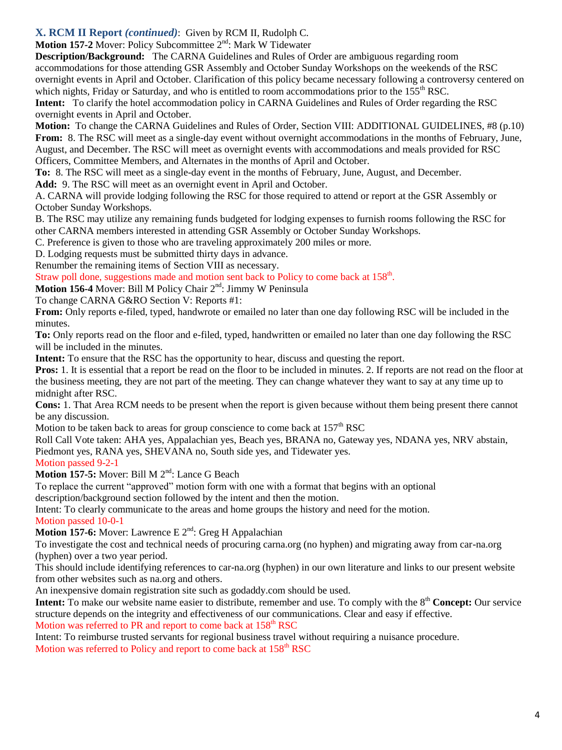### **X. RCM II Report** *(continued)*: Given by RCM II, Rudolph C.

**Motion 157-2 Mover: Policy Subcommittee 2<sup>nd</sup>: Mark W Tidewater** 

**Description/Background:** The CARNA Guidelines and Rules of Order are ambiguous regarding room accommodations for those attending GSR Assembly and October Sunday Workshops on the weekends of the RSC overnight events in April and October. Clarification of this policy became necessary following a controversy centered on which nights, Friday or Saturday, and who is entitled to room accommodations prior to the  $155<sup>th</sup> RSC$ .

**Intent:** To clarify the hotel accommodation policy in CARNA Guidelines and Rules of Order regarding the RSC overnight events in April and October.

**Motion:** To change the CARNA Guidelines and Rules of Order, Section VIII: ADDITIONAL GUIDELINES, #8 (p.10) **From:** 8. The RSC will meet as a single-day event without overnight accommodations in the months of February, June, August, and December. The RSC will meet as overnight events with accommodations and meals provided for RSC Officers, Committee Members, and Alternates in the months of April and October.

**To:** 8. The RSC will meet as a single-day event in the months of February, June, August, and December.

**Add:** 9. The RSC will meet as an overnight event in April and October.

A. CARNA will provide lodging following the RSC for those required to attend or report at the GSR Assembly or October Sunday Workshops.

B. The RSC may utilize any remaining funds budgeted for lodging expenses to furnish rooms following the RSC for other CARNA members interested in attending GSR Assembly or October Sunday Workshops.

C. Preference is given to those who are traveling approximately 200 miles or more.

D. Lodging requests must be submitted thirty days in advance.

Renumber the remaining items of Section VIII as necessary.

Straw poll done, suggestions made and motion sent back to Policy to come back at 158<sup>th</sup>.

**Motion 156-4** Mover: Bill M Policy Chair 2<sup>nd</sup>: Jimmy W Peninsula

To change CARNA G&RO Section V: Reports #1:

**From:** Only reports e-filed, typed, handwrote or emailed no later than one day following RSC will be included in the minutes.

**To:** Only reports read on the floor and e-filed, typed, handwritten or emailed no later than one day following the RSC will be included in the minutes.

**Intent:** To ensure that the RSC has the opportunity to hear, discuss and questing the report.

**Pros:** 1. It is essential that a report be read on the floor to be included in minutes. 2. If reports are not read on the floor at the business meeting, they are not part of the meeting. They can change whatever they want to say at any time up to midnight after RSC.

**Cons:** 1. That Area RCM needs to be present when the report is given because without them being present there cannot be any discussion.

Motion to be taken back to areas for group conscience to come back at  $157<sup>th</sup> RSC$ 

Roll Call Vote taken: AHA yes, Appalachian yes, Beach yes, BRANA no, Gateway yes, NDANA yes, NRV abstain, Piedmont yes, RANA yes, SHEVANA no, South side yes, and Tidewater yes.

Motion passed 9-2-1

Motion 157-5: Mover: Bill M 2<sup>nd</sup>: Lance G Beach

To replace the current "approved" motion form with one with a format that begins with an optional

description/background section followed by the intent and then the motion.

Intent: To clearly communicate to the areas and home groups the history and need for the motion.

#### Motion passed 10-0-1

Motion 157-6: Mover: Lawrence E 2<sup>nd</sup>: Greg H Appalachian

To investigate the cost and technical needs of procuring carna.org (no hyphen) and migrating away from car-na.org (hyphen) over a two year period.

This should include identifying references to car-na.org (hyphen) in our own literature and links to our present website from other websites such as na.org and others.

An inexpensive domain registration site such as godaddy.com should be used.

**Intent:** To make our website name easier to distribute, remember and use. To comply with the 8<sup>th</sup> Concept: Our service structure depends on the integrity and effectiveness of our communications. Clear and easy if effective.

Motion was referred to PR and report to come back at  $158<sup>th</sup> RSC$ 

Intent: To reimburse trusted servants for regional business travel without requiring a nuisance procedure. Motion was referred to Policy and report to come back at  $158<sup>th</sup> RSC$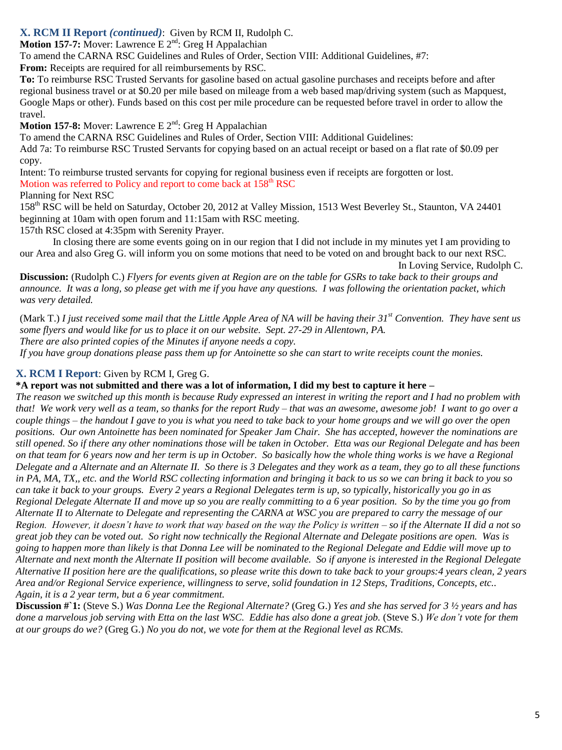### **X. RCM II Report** *(continued)*: Given by RCM II, Rudolph C.

**Motion 157-7:** Mover: Lawrence E 2<sup>nd</sup>: Greg H Appalachian

To amend the CARNA RSC Guidelines and Rules of Order, Section VIII: Additional Guidelines, #7:

**From:** Receipts are required for all reimbursements by RSC.

**To:** To reimburse RSC Trusted Servants for gasoline based on actual gasoline purchases and receipts before and after regional business travel or at \$0.20 per mile based on mileage from a web based map/driving system (such as Mapquest, Google Maps or other). Funds based on this cost per mile procedure can be requested before travel in order to allow the travel.

**Motion 157-8:** Mover: Lawrence E 2<sup>nd</sup>: Greg H Appalachian

To amend the CARNA RSC Guidelines and Rules of Order, Section VIII: Additional Guidelines:

Add 7a: To reimburse RSC Trusted Servants for copying based on an actual receipt or based on a flat rate of \$0.09 per copy.

Intent: To reimburse trusted servants for copying for regional business even if receipts are forgotten or lost.

Motion was referred to Policy and report to come back at 158<sup>th</sup> RSC

Planning for Next RSC

158th RSC will be held on Saturday, October 20, 2012 at Valley Mission, 1513 West Beverley St., Staunton, VA 24401 beginning at 10am with open forum and 11:15am with RSC meeting.

157th RSC closed at 4:35pm with Serenity Prayer.

In closing there are some events going on in our region that I did not include in my minutes yet I am providing to our Area and also Greg G. will inform you on some motions that need to be voted on and brought back to our next RSC.

In Loving Service, Rudolph C.

**Discussion:** (Rudolph C.) *Flyers for events given at Region are on the table for GSRs to take back to their groups and announce. It was a long, so please get with me if you have any questions. I was following the orientation packet, which was very detailed.*

(Mark T.) *I just received some mail that the Little Apple Area of NA will be having their 31st Convention. They have sent us some flyers and would like for us to place it on our website. Sept. 27-29 in Allentown, PA.*

*There are also printed copies of the Minutes if anyone needs a copy.*

*If you have group donations please pass them up for Antoinette so she can start to write receipts count the monies.*

# **X. RCM I Report**: Given by RCM I, Greg G.

**\*A report was not submitted and there was a lot of information, I did my best to capture it here –**

*The reason we switched up this month is because Rudy expressed an interest in writing the report and I had no problem with that! We work very well as a team, so thanks for the report Rudy – that was an awesome, awesome job! I want to go over a couple things – the handout I gave to you is what you need to take back to your home groups and we will go over the open positions. Our own Antoinette has been nominated for Speaker Jam Chair. She has accepted, however the nominations are still opened. So if there any other nominations those will be taken in October. Etta was our Regional Delegate and has been on that team for 6 years now and her term is up in October. So basically how the whole thing works is we have a Regional Delegate and a Alternate and an Alternate II. So there is 3 Delegates and they work as a team, they go to all these functions in PA, MA, TX,, etc. and the World RSC collecting information and bringing it back to us so we can bring it back to you so can take it back to your groups. Every 2 years a Regional Delegates term is up, so typically, historically you go in as Regional Delegate Alternate II and move up so you are really committing to a 6 year position. So by the time you go from Alternate II to Alternate to Delegate and representing the CARNA at WSC you are prepared to carry the message of our Region. However, it doesn't have to work that way based on the way the Policy is written – so if the Alternate II did a not so great job they can be voted out. So right now technically the Regional Alternate and Delegate positions are open. Was is going to happen more than likely is that Donna Lee will be nominated to the Regional Delegate and Eddie will move up to Alternate and next month the Alternate II position will become available. So if anyone is interested in the Regional Delegate Alternative II position here are the qualifications, so please write this down to take back to your groups:4 years clean, 2 years Area and/or Regional Service experience, willingness to serve, solid foundation in 12 Steps, Traditions, Concepts, etc.. Again, it is a 2 year term, but a 6 year commitment.* 

**Discussion #`1:** (Steve S.) *Was Donna Lee the Regional Alternate?* (Greg G.) *Yes and she has served for 3 ½ years and has done a marvelous job serving with Etta on the last WSC. Eddie has also done a great job.* (Steve S.) *We don't vote for them at our groups do we?* (Greg G.) *No you do not, we vote for them at the Regional level as RCMs.*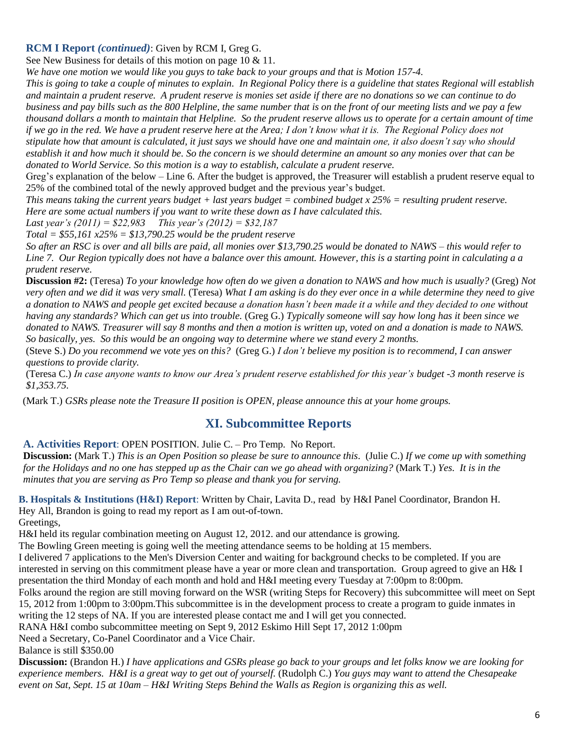#### **RCM I Report** *(continued)*: Given by RCM I, Greg G.

See New Business for details of this motion on page 10 & 11.

*We have one motion we would like you guys to take back to your groups and that is Motion 157-4.*

*This is going to take a couple of minutes to explain. In Regional Policy there is a guideline that states Regional will establish and maintain a prudent reserve. A prudent reserve is monies set aside if there are no donations so we can continue to do business and pay bills such as the 800 Helpline, the same number that is on the front of our meeting lists and we pay a few thousand dollars a month to maintain that Helpline. So the prudent reserve allows us to operate for a certain amount of time if we go in the red. We have a prudent reserve here at the Area; I don't know what it is. The Regional Policy does not stipulate how that amount is calculated, it just says we should have one and maintain one, it also doesn't say who should establish it and how much it should be. So the concern is we should determine an amount so any monies over that can be donated to World Service. So this motion is a way to establish, calculate a prudent reserve.* 

Greg's explanation of the below – Line 6. After the budget is approved, the Treasurer will establish a prudent reserve equal to 25% of the combined total of the newly approved budget and the previous year's budget.

*This means taking the current years budget + last years budget = combined budget x 25% = resulting prudent reserve. Here are some actual numbers if you want to write these down as I have calculated this.*

*Last year's (2011) = \$22,983 This year's (2012) = \$32,187* 

*Total = \$55,161 x25% = \$13,790.25 would be the prudent reserve*

*So after an RSC is over and all bills are paid, all monies over \$13,790.25 would be donated to NAWS – this would refer to Line 7. Our Region typically does not have a balance over this amount. However, this is a starting point in calculating a a prudent reserve.*

**Discussion #2:** (Teresa) *To your knowledge how often do we given a donation to NAWS and how much is usually?* (Greg) *Not very often and we did it was very small.* (Teresa) *What I am asking is do they ever once in a while determine they need to give a donation to NAWS and people get excited because a donation hasn't been made it a while and they decided to one without having any standards? Which can get us into trouble.* (Greg G.) *Typically someone will say how long has it been since we donated to NAWS. Treasurer will say 8 months and then a motion is written up, voted on and a donation is made to NAWS. So basically, yes. So this would be an ongoing way to determine where we stand every 2 months.* 

(Steve S.) *Do you recommend we vote yes on this?* (Greg G.) *I don't believe my position is to recommend, I can answer questions to provide clarity.* 

(Teresa C.) *In case anyone wants to know our Area's prudent reserve established for this year's budget -3 month reserve is \$1,353.75.* 

(Mark T.) *GSRs please note the Treasure II position is OPEN, please announce this at your home groups.*

# **XI. Subcommittee Reports**

#### **A. Activities Report**: OPEN POSITION. Julie C. – Pro Temp. No Report.

**Discussion:** (Mark T.) *This is an Open Position so please be sure to announce this*. (Julie C.) *If we come up with something for the Holidays and no one has stepped up as the Chair can we go ahead with organizing?* (Mark T.) *Yes. It is in the minutes that you are serving as Pro Temp so please and thank you for serving.*

**B. Hospitals & Institutions (H&I) Report**: Written by Chair, Lavita D., read by H&I Panel Coordinator, Brandon H. Hey All, Brandon is going to read my report as I am out-of-town.

Greetings,

H&I held its regular combination meeting on August 12, 2012. and our attendance is growing.

The Bowling Green meeting is going well the meeting attendance seems to be holding at 15 members.

I delivered 7 applications to the Men's Diversion Center and waiting for background checks to be completed. If you are interested in serving on this commitment please have a year or more clean and transportation. Group agreed to give an H& I presentation the third Monday of each month and hold and H&I meeting every Tuesday at 7:00pm to 8:00pm.

Folks around the region are still moving forward on the WSR (writing Steps for Recovery) this subcommittee will meet on Sept 15, 2012 from 1:00pm to 3:00pm.This subcommittee is in the development process to create a program to guide inmates in writing the 12 steps of NA. If you are interested please contact me and I will get you connected.

RANA H&I combo subcommittee meeting on Sept 9, 2012 Eskimo Hill Sept 17, 2012 1:00pm

Need a Secretary, Co-Panel Coordinator and a Vice Chair.

Balance is still \$350.00

**Discussion:** (Brandon H.) *I have applications and GSRs please go back to your groups and let folks know we are looking for experience members. H&I is a great way to get out of yourself.* (Rudolph C.) *You guys may want to attend the Chesapeake event on Sat, Sept. 15 at 10am – H&I Writing Steps Behind the Walls as Region is organizing this as well.*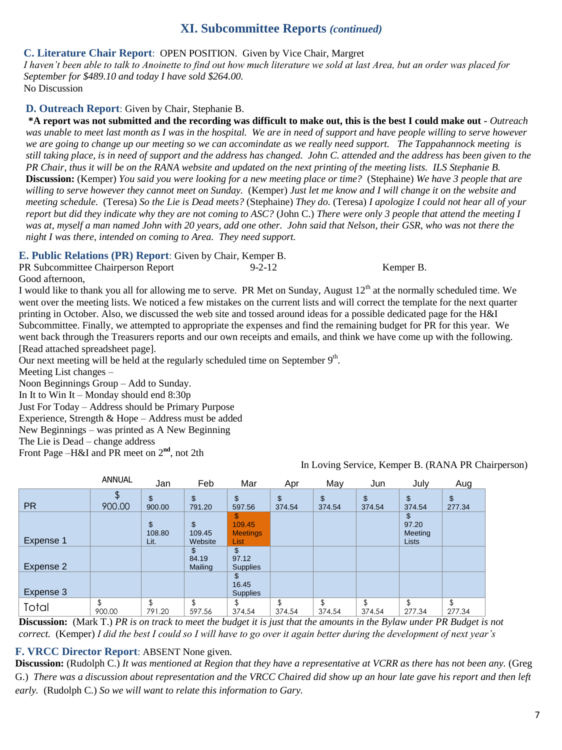### **XI. Subcommittee Reports** *(continued)*

#### **C. Literature Chair Report**: OPEN POSITION. Given by Vice Chair, Margret

*I haven't been able to talk to Anoinette to find out how much literature we sold at last Area, but an order was placed for September for \$489.10 and today I have sold \$264.00.* 

No Discussion

#### **D. Outreach Report**: Given by Chair, Stephanie B.

**\*A report was not submitted and the recording was difficult to make out, this is the best I could make out -** *Outreach was unable to meet last month as I was in the hospital. We are in need of support and have people willing to serve however we are going to change up our meeting so we can accomindate as we really need support. The Tappahannock meeting is still taking place, is in need of support and the address has changed. John C. attended and the address has been given to the PR Chair, thus it will be on the RANA website and updated on the next printing of the meeting lists. ILS Stephanie B.* **Discussion:** (Kemper) *You said you were looking for a new meeting place or time?* (Stephaine) *We have 3 people that are willing to serve however they cannot meet on Sunday.* (Kemper) *Just let me know and I will change it on the website and meeting schedule.* (Teresa) *So the Lie is Dead meets?* (Stephaine) *They do.* (Teresa) *I apologize I could not hear all of your report but did they indicate why they are not coming to ASC?* (John C.) *There were only 3 people that attend the meeting I was at, myself a man named John with 20 years, add one other. John said that Nelson, their GSR, who was not there the night I was there, intended on coming to Area. They need support.*

#### **E. Public Relations (PR) Report**: Given by Chair, Kemper B.

| PR Subcommittee Chairperson Report |  | $9 - 2 - 12$ | Kemper B. |  |
|------------------------------------|--|--------------|-----------|--|

Good afternoon,

I would like to thank you all for allowing me to serve. PR Met on Sunday, August  $12<sup>th</sup>$  at the normally scheduled time. We went over the meeting lists. We noticed a few mistakes on the current lists and will correct the template for the next quarter printing in October. Also, we discussed the web site and tossed around ideas for a possible dedicated page for the H&I Subcommittee. Finally, we attempted to appropriate the expenses and find the remaining budget for PR for this year. We went back through the Treasurers reports and our own receipts and emails, and think we have come up with the following. [Read attached spreadsheet page].

Our next meeting will be held at the regularly scheduled time on September  $9<sup>th</sup>$ .

Meeting List changes –

Noon Beginnings Group – Add to Sunday.

In It to Win It – Monday should end 8:30p

Just For Today – Address should be Primary Purpose

Experience, Strength & Hope – Address must be added

New Beginnings – was printed as A New Beginning

The Lie is Dead – change address

Front Page –H&I and PR meet on 2**nd**, not 2th

|           | <b>ANNUAL</b> | Jan                  | Feb                     | Mar                                        | Apr          | May          | Jun          | July                             | Aug          |
|-----------|---------------|----------------------|-------------------------|--------------------------------------------|--------------|--------------|--------------|----------------------------------|--------------|
| <b>PR</b> | 900.00        | \$<br>900.00         | \$<br>791.20            | \$<br>597.56                               | \$<br>374.54 | \$<br>374.54 | \$<br>374.54 | \$<br>374.54                     | \$<br>277.34 |
| Expense 1 |               | \$<br>108.80<br>Lit. | \$<br>109.45<br>Website | \$<br>109.45<br><b>Meetings</b><br>List    |              |              |              | 97.20<br>Meeting<br><b>Lists</b> |              |
| Expense 2 |               |                      | \$.<br>84.19<br>Mailing | $\mathfrak{F}$<br>97.12<br><b>Supplies</b> |              |              |              |                                  |              |
| Expense 3 |               |                      |                         | \$.<br>16.45<br><b>Supplies</b>            |              |              |              |                                  |              |
| Total     | \$<br>900.00  | Φ<br>J<br>791.20     | \$<br>597.56            | \$<br>374.54                               | \$<br>374.54 | \$<br>374.54 | \$<br>374.54 | \$<br>277.34                     | \$<br>277.34 |

In Loving Service, Kemper B. (RANA PR Chairperson)

**Discussion:** (Mark T.) *PR is on track to meet the budget it is just that the amounts in the Bylaw under PR Budget is not correct.* (Kemper) *I did the best I could so I will have to go over it again better during the development of next year's* 

### **F. VRCC Director Report: ABSENT None given.**

**Discussion:** (Rudolph C.) *It was mentioned at Region that they have a representative at VCRR as there has not been any.* (Greg G.) *There was a discussion about representation and the VRCC Chaired did show up an hour late gave his report and then left early.* (Rudolph C.) *So we will want to relate this information to Gary.*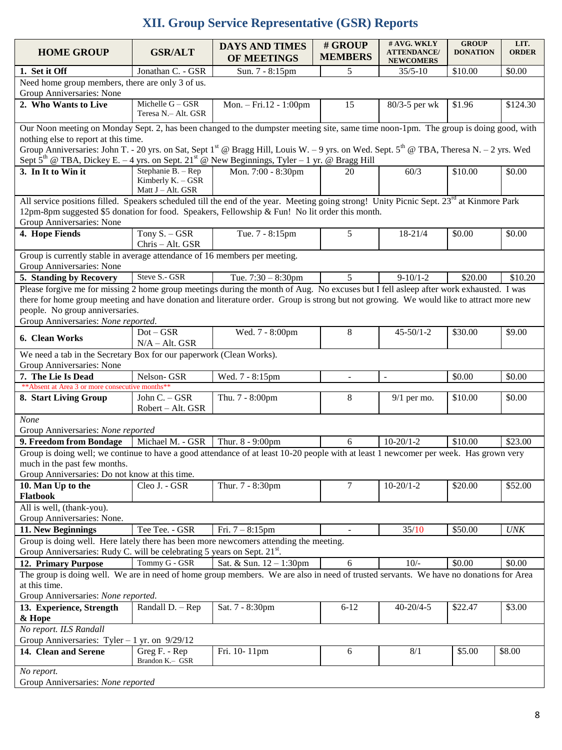# **XII. Group Service Representative (GSR) Reports**

| <b>HOME GROUP</b>                                                                                                                                                                                                                                                                                                                                          | <b>GSR/ALT</b>                                                             | <b>DAYS AND TIMES</b><br>OF MEETINGS | # GROUP<br><b>MEMBERS</b> | # AVG. WKLY<br><b>ATTENDANCE</b> /<br><b>NEWCOMERS</b> | <b>GROUP</b><br><b>DONATION</b> | LIT.<br><b>ORDER</b> |  |
|------------------------------------------------------------------------------------------------------------------------------------------------------------------------------------------------------------------------------------------------------------------------------------------------------------------------------------------------------------|----------------------------------------------------------------------------|--------------------------------------|---------------------------|--------------------------------------------------------|---------------------------------|----------------------|--|
| 1. Set it Off                                                                                                                                                                                                                                                                                                                                              | Jonathan C. - GSR                                                          | Sun. 7 - 8:15pm                      | 5                         | $35/5 - 10$                                            | \$10.00                         | \$0.00               |  |
| Need home group members, there are only 3 of us.<br>Group Anniversaries: None                                                                                                                                                                                                                                                                              |                                                                            |                                      |                           |                                                        |                                 |                      |  |
| 2. Who Wants to Live                                                                                                                                                                                                                                                                                                                                       | Michelle $G - GSR$<br>Teresa N.- Alt. GSR                                  | Mon. - Fri.12 - 1:00pm               | 15                        | 80/3-5 per wk                                          | \$1.96                          | \$124.30             |  |
| Our Noon meeting on Monday Sept. 2, has been changed to the dumpster meeting site, same time noon-1pm. The group is doing good, with                                                                                                                                                                                                                       |                                                                            |                                      |                           |                                                        |                                 |                      |  |
| nothing else to report at this time.<br>Group Anniversaries: John T. - 20 yrs. on Sat, Sept 1 <sup>st</sup> @ Bragg Hill, Louis W. - 9 yrs. on Wed. Sept. 5 <sup>th</sup> @ TBA, Theresa N. - 2 yrs. Wed<br>Sept $5^{th}$ @ TBA, Dickey E. - 4 yrs. on Sept. 21 <sup>st</sup> @ New Beginnings, Tyler - 1 yr. @ Bragg Hill                                 |                                                                            |                                      |                           |                                                        |                                 |                      |  |
| 3. In It to Win it                                                                                                                                                                                                                                                                                                                                         | Stephanie B. - Rep                                                         | Mon. 7:00 - 8:30pm                   | 20                        | 60/3                                                   | \$10.00                         | \$0.00               |  |
|                                                                                                                                                                                                                                                                                                                                                            | Kimberly K. - GSR<br>Matt J - Alt. GSR                                     |                                      |                           |                                                        |                                 |                      |  |
| All service positions filled. Speakers scheduled till the end of the year. Meeting going strong! Unity Picnic Sept. 23 <sup>rd</sup> at Kinmore Park                                                                                                                                                                                                       |                                                                            |                                      |                           |                                                        |                                 |                      |  |
| 12pm-8pm suggested \$5 donation for food. Speakers, Fellowship & Fun! No lit order this month.<br>Group Anniversaries: None                                                                                                                                                                                                                                |                                                                            |                                      |                           |                                                        |                                 |                      |  |
| 4. Hope Fiends                                                                                                                                                                                                                                                                                                                                             | Tony S. - GSR<br>Chris - Alt. GSR                                          | Tue. 7 - 8:15pm                      | 5                         | $18 - 21/4$                                            | \$0.00                          | \$0.00               |  |
| Group Anniversaries: None                                                                                                                                                                                                                                                                                                                                  | Group is currently stable in average attendance of 16 members per meeting. |                                      |                           |                                                        |                                 |                      |  |
| 5. Standing by Recovery                                                                                                                                                                                                                                                                                                                                    | Steve S.- GSR                                                              | Tue. $7:30 - 8:30$ pm                | 5                         | $9-10/1-2$                                             | \$20.00                         | \$10.20              |  |
| Please forgive me for missing 2 home group meetings during the month of Aug. No excuses but I fell asleep after work exhausted. I was<br>there for home group meeting and have donation and literature order. Group is strong but not growing. We would like to attract more new<br>people. No group anniversaries.<br>Group Anniversaries: None reported. |                                                                            |                                      |                           |                                                        |                                 |                      |  |
| 6. Clean Works                                                                                                                                                                                                                                                                                                                                             | $Dot - GSR$<br>$N/A - Alt. GSR$                                            | Wed. 7 - 8:00pm                      | 8                         | $45 - 50/1 - 2$                                        | \$30.00                         | \$9.00               |  |
| We need a tab in the Secretary Box for our paperwork (Clean Works).<br>Group Anniversaries: None                                                                                                                                                                                                                                                           |                                                                            |                                      |                           |                                                        |                                 |                      |  |
| 7. The Lie Is Dead                                                                                                                                                                                                                                                                                                                                         | Nelson-GSR                                                                 | Wed. 7 - 8:15pm                      | $\omega$                  | $\blacksquare$                                         | \$0.00                          | \$0.00               |  |
| ** Absent at Area 3 or more consecutive months**                                                                                                                                                                                                                                                                                                           |                                                                            |                                      |                           |                                                        |                                 |                      |  |
| 8. Start Living Group                                                                                                                                                                                                                                                                                                                                      | John C. - GSR<br>Robert - Alt. GSR                                         | Thu. 7 - 8:00pm                      | 8                         | $9/1$ per mo.                                          | \$10.00                         | \$0.00               |  |
| None                                                                                                                                                                                                                                                                                                                                                       |                                                                            |                                      |                           |                                                        |                                 |                      |  |
| Group Anniversaries: None reported                                                                                                                                                                                                                                                                                                                         |                                                                            |                                      |                           |                                                        |                                 |                      |  |
| 9. Freedom from Bondage                                                                                                                                                                                                                                                                                                                                    | Michael M. - GSR                                                           | Thur. 8 - 9:00pm                     | 6                         | $10-20/1-2$                                            | \$10.00                         | \$23.00              |  |
| Group is doing well; we continue to have a good attendance of at least 10-20 people with at least 1 newcomer per week. Has grown very<br>much in the past few months.<br>Group Anniversaries: Do not know at this time.                                                                                                                                    |                                                                            |                                      |                           |                                                        |                                 |                      |  |
| 10. Man Up to the<br>Flatbook                                                                                                                                                                                                                                                                                                                              | Cleo J. - GSR                                                              | Thur. 7 - 8:30pm                     | 7                         | $10-20/1-2$                                            | \$20.00                         | \$52.00              |  |
| All is well, (thank-you).<br>Group Anniversaries: None.                                                                                                                                                                                                                                                                                                    |                                                                            |                                      |                           |                                                        |                                 |                      |  |
| 11. New Beginnings                                                                                                                                                                                                                                                                                                                                         | Tee Tee. - GSR                                                             | Fri. $7 - 8:15$ pm                   | $\blacksquare$            | 35/10                                                  | \$50.00                         | <b>UNK</b>           |  |
| Group is doing well. Here lately there has been more newcomers attending the meeting.<br>Group Anniversaries: Rudy C. will be celebrating 5 years on Sept. 21 <sup>st</sup> .                                                                                                                                                                              |                                                                            |                                      |                           |                                                        |                                 |                      |  |
| 12. Primary Purpose                                                                                                                                                                                                                                                                                                                                        | Tommy G - GSR                                                              | Sat. & Sun. 12 - 1:30pm              | 6                         | $10/-$                                                 | \$0.00                          | \$0.00               |  |
| The group is doing well. We are in need of home group members. We are also in need of trusted servants. We have no donations for Area<br>at this time.                                                                                                                                                                                                     |                                                                            |                                      |                           |                                                        |                                 |                      |  |
| Group Anniversaries: None reported.                                                                                                                                                                                                                                                                                                                        |                                                                            |                                      |                           |                                                        |                                 |                      |  |
| 13. Experience, Strength<br>& Hope                                                                                                                                                                                                                                                                                                                         | Randall D. - Rep                                                           | Sat. 7 - 8:30pm                      | $6-12$                    | $40 - 20/4 - 5$                                        | \$22.47                         | \$3.00               |  |
| No report. ILS Randall<br>Group Anniversaries: Tyler $-1$ yr. on 9/29/12                                                                                                                                                                                                                                                                                   |                                                                            |                                      |                           |                                                        |                                 |                      |  |
| 14. Clean and Serene                                                                                                                                                                                                                                                                                                                                       | Greg F. - Rep<br>Brandon K.- GSR                                           | Fri. 10-11pm                         | 6                         | 8/1                                                    | \$5.00                          | \$8.00               |  |
| No report.<br>Group Anniversaries: None reported                                                                                                                                                                                                                                                                                                           |                                                                            |                                      |                           |                                                        |                                 |                      |  |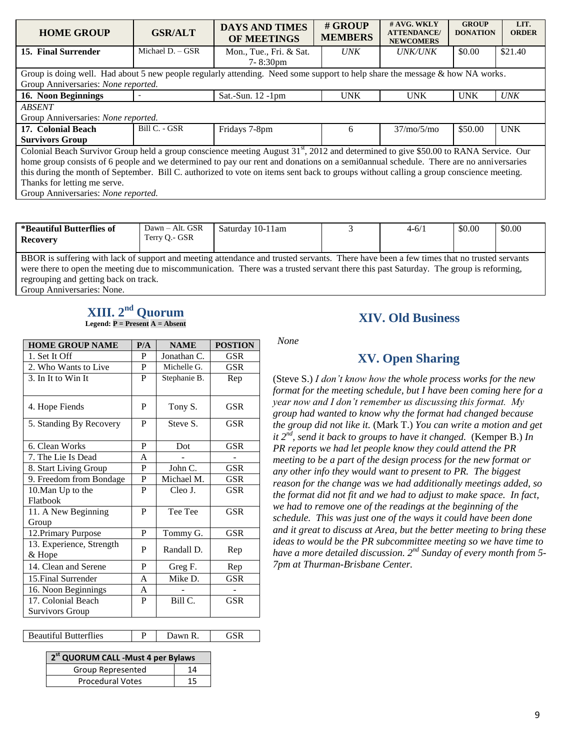| <b>HOME GROUP</b>                                                                                                                                | <b>GSR/ALT</b>   | <b>DAYS AND TIMES</b><br><b>OF MEETINGS</b> | # GROUP<br><b>MEMBERS</b> | $#$ AVG. WKLY<br><b>ATTENDANCE</b> /<br><b>NEWCOMERS</b> | <b>GROUP</b><br><b>DONATION</b> | LIT.<br><b>ORDER</b> |  |
|--------------------------------------------------------------------------------------------------------------------------------------------------|------------------|---------------------------------------------|---------------------------|----------------------------------------------------------|---------------------------------|----------------------|--|
| 15. Final Surrender                                                                                                                              | Michael D. - GSR | Mon., Tue., Fri. & Sat.                     | <i>UNK</i>                | <i><b>UNK/UNK</b></i>                                    | \$0.00                          | \$21.40              |  |
|                                                                                                                                                  |                  | $7 - 8:30 \text{pm}$                        |                           |                                                          |                                 |                      |  |
| Group is doing well. Had about 5 new people regularly attending. Need some support to help share the message & how NA works.                     |                  |                                             |                           |                                                          |                                 |                      |  |
| Group Anniversaries: None reported.                                                                                                              |                  |                                             |                           |                                                          |                                 |                      |  |
| 16. Noon Beginnings                                                                                                                              |                  | Sat.-Sun. $12$ -1pm                         | <b>UNK</b>                | <b>UNK</b>                                               | <b>UNK</b>                      | <b>UNK</b>           |  |
| <b>ABSENT</b>                                                                                                                                    |                  |                                             |                           |                                                          |                                 |                      |  |
| Group Anniversaries: None reported.                                                                                                              |                  |                                             |                           |                                                          |                                 |                      |  |
| 17. Colonial Beach                                                                                                                               | Bill C. - GSR    | Fridays 7-8pm                               | 6                         | 37/m <sub>0</sub> /5/m <sub>0</sub>                      | \$50.00                         | <b>UNK</b>           |  |
| <b>Survivors Group</b>                                                                                                                           |                  |                                             |                           |                                                          |                                 |                      |  |
| Colonial Beach Survivor Group held a group conscience meeting August 31 <sup>st</sup> , 2012 and determined to give \$50.00 to RANA Service. Our |                  |                                             |                           |                                                          |                                 |                      |  |
| home group consists of 6 people and we determined to pay our rent and donations on a semi0annual schedule. There are no anniversaries            |                  |                                             |                           |                                                          |                                 |                      |  |
| this during the month of September. Bill C. authorized to vote on items sent back to groups without calling a group conscience meeting.          |                  |                                             |                           |                                                          |                                 |                      |  |
| Thanks for letting me serve.                                                                                                                     |                  |                                             |                           |                                                          |                                 |                      |  |
| Group Anniversaries: None reported.                                                                                                              |                  |                                             |                           |                                                          |                                 |                      |  |

| *Beautiful Butterflies of<br><b>Recovery</b>                                                                                                                                                                                                                                      | Dawn – Alt. GSR<br>Terry O.- GSR | Saturday 10-11am |  | $4 - 6/1$ | \$0.00 | \$0.00 |  |
|-----------------------------------------------------------------------------------------------------------------------------------------------------------------------------------------------------------------------------------------------------------------------------------|----------------------------------|------------------|--|-----------|--------|--------|--|
| BBOR is suffering with lack of support and meeting attendance and trusted servants. There have been a few times that no trusted servants<br>were there to open the meeting due to miscommunication. There was a trusted servant there this past Saturday. The group is reforming, |                                  |                  |  |           |        |        |  |
|                                                                                                                                                                                                                                                                                   |                                  |                  |  |           |        |        |  |

regrouping and getting back on track. Group Anniversaries: None.

#### $\boldsymbol{\mathrm{XIII.}}\ 2^{\text{nd}}$  Quorum **Legend: P = Present A = Absent**

| <b>HOME GROUP NAME</b>             | P/A | <b>NAME</b>  | <b>POSTION</b> |
|------------------------------------|-----|--------------|----------------|
| 1. Set It Off                      | P   | Jonathan C.  | GSR            |
| 2. Who Wants to Live               | P   | Michelle G.  | GSR            |
| 3. In It to Win It                 | P   | Stephanie B. | Rep            |
| 4. Hope Fiends                     | P   | Tony S.      | GSR            |
| 5. Standing By Recovery            | P   | Steve S.     | <b>GSR</b>     |
| 6. Clean Works                     | P   | Dot          | <b>GSR</b>     |
| 7. The Lie Is Dead                 | A   |              |                |
| 8. Start Living Group              | P   | John C.      | GSR            |
| 9. Freedom from Bondage            | P   | Michael M.   | GSR            |
| 10. Man Up to the                  | P   | Cleo J.      | GSR            |
| Flatbook                           |     |              |                |
| 11. A New Beginning                | P   | Tee Tee      | <b>GSR</b>     |
| Group                              |     |              |                |
| 12. Primary Purpose                | P   | Tommy G.     | <b>GSR</b>     |
| 13. Experience, Strength<br>& Hope | P   | Randall D.   | Rep            |
| 14. Clean and Serene               | P   | Greg F.      | Rep            |
| 15. Final Surrender                | A   | Mike D.      | <b>GSR</b>     |
| 16. Noon Beginnings                | A   |              |                |
| 17. Colonial Beach                 | P   | Bill C.      | <b>GSR</b>     |
| <b>Survivors Group</b>             |     |              |                |

| <b>Beautiful Butterflies</b> | Dawn R. |  |
|------------------------------|---------|--|
|                              |         |  |

| 2 <sup>st</sup> QUORUM CALL - Must 4 per Bylaws |    |  |  |  |  |
|-------------------------------------------------|----|--|--|--|--|
| Group Represented                               | 14 |  |  |  |  |
| <b>Procedural Votes</b>                         | 15 |  |  |  |  |

### **XIV. Old Business**

*None*

# **XV. Open Sharing**

(Steve S.) *I don't know how the whole process works for the new format for the meeting schedule, but I have been coming here for a year now and I don't remember us discussing this format. My group had wanted to know why the format had changed because the group did not like it.* (Mark T.) *You can write a motion and get it*  $2^{nd}$ *, send it back to groups to have it changed.* (Kemper B.) *In PR reports we had let people know they could attend the PR meeting to be a part of the design process for the new format or any other info they would want to present to PR. The biggest reason for the change was we had additionally meetings added, so the format did not fit and we had to adjust to make space. In fact, we had to remove one of the readings at the beginning of the schedule. This was just one of the ways it could have been done and it great to discuss at Area, but the better meeting to bring these ideas to would be the PR subcommittee meeting so we have time to*  have a more detailed discussion. 2<sup>nd</sup> Sunday of every month from 5-*7pm at Thurman-Brisbane Center.*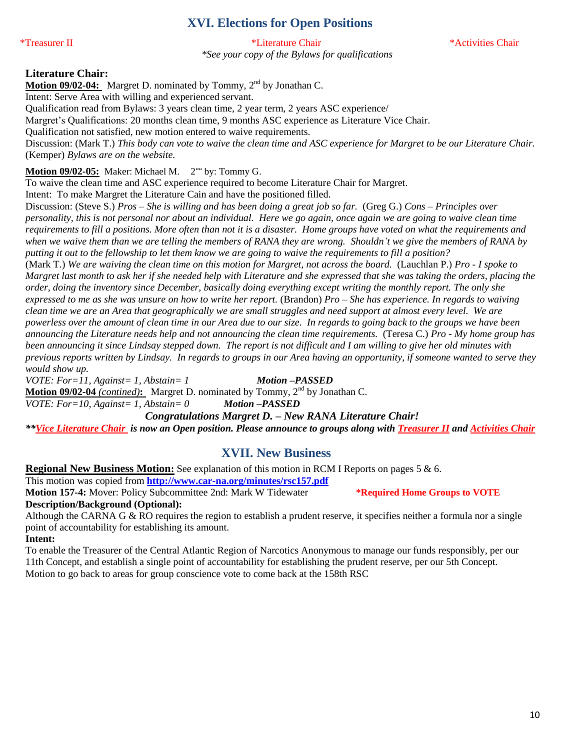# **XVI. Elections for Open Positions**

\*Treasurer II \*Literature Chair \*Activities Chair

*\*See your copy of the Bylaws for qualifications*

#### **Literature Chair:**

Motion 09/02-04: Margret D. nominated by Tommy, 2<sup>nd</sup> by Jonathan C. Intent: Serve Area with willing and experienced servant. Qualification read from Bylaws: 3 years clean time, 2 year term, 2 years ASC experience/ Margret's Qualifications: 20 months clean time, 9 months ASC experience as Literature Vice Chair.

Qualification not satisfied, new motion entered to waive requirements.

Discussion: (Mark T.) *This body can vote to waive the clean time and ASC experience for Margret to be our Literature Chair.*  (Kemper) *Bylaws are on the website.* 

### Motion 09/02-05: Maker: Michael M. 2<sup>nd</sup> by: Tommy G.

To waive the clean time and ASC experience required to become Literature Chair for Margret.

Intent: To make Margret the Literature Cain and have the positioned filled.

Discussion: (Steve S.) *Pros – She is willing and has been doing a great job so far.* (Greg G.) *Cons – Principles over personality, this is not personal nor about an individual. Here we go again, once again we are going to waive clean time requirements to fill a positions. More often than not it is a disaster. Home groups have voted on what the requirements and when we waive them than we are telling the members of RANA they are wrong. Shouldn't we give the members of RANA by putting it out to the fellowship to let them know we are going to waive the requirements to fill a position?*

powerless over the amount of clean time in our Area due to our size. In regards to going back to the groups we have been (Mark T.) *We are waiving the clean time on this motion for Margret, not across the board.* (Lauchlan P.) *Pro - I spoke to Margret last month to ask her if she needed help with Literature and she expressed that she was taking the orders, placing the order, doing the inventory since December, basically doing everything except writing the monthly report. The only she expressed to me as she was unsure on how to write her report.* (Brandon) *Pro – She has experience. In regards to waiving clean time we are an Area that geographically we are small struggles and need support at almost every level. We are announcing the Literature needs help and not announcing the clean time requirements.* (Teresa C.) *Pro - My home group has been announcing it since Lindsay stepped down. The report is not difficult and I am willing to give her old minutes with previous reports written by Lindsay. In regards to groups in our Area having an opportunity, if someone wanted to serve they would show up.* 

*VOTE: For=11, Against= 1, Abstain= 1 Motion –PASSED* Motion 09/02-04 *(contined)*: Margret D. nominated by Tommy, 2<sup>nd</sup> by Jonathan C. *VOTE: For=10, Against= 1, Abstain= 0 Motion –PASSED*

*Congratulations Margret D. – New RANA Literature Chair!*

*\*\*Vice Literature Chair is now an Open position. Please announce to groups along with Treasurer II and Activities Chair*

# **XVII. New Business**

**Regional New Business Motion:** See explanation of this motion in RCM I Reports on pages 5 & 6.

This motion was copied from **<http://www.car-na.org/minutes/rsc157.pdf> Motion 157-4:** Mover: Policy Subcommittee 2nd: Mark W Tidewater **\*Required Home Groups to VOTE**

**Description/Background (Optional):**

Although the CARNA G & RO requires the region to establish a prudent reserve, it specifies neither a formula nor a single point of accountability for establishing its amount.

**Intent:**

To enable the Treasurer of the Central Atlantic Region of Narcotics Anonymous to manage our funds responsibly, per our 11th Concept, and establish a single point of accountability for establishing the prudent reserve, per our 5th Concept. Motion to go back to areas for group conscience vote to come back at the 158th RSC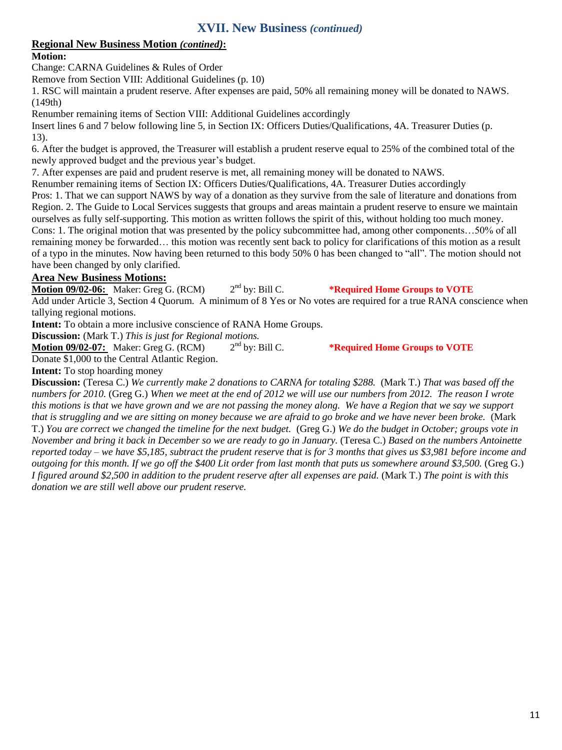# **XVII. New Business** *(continued)*

### **Regional New Business Motion** *(contined)***:**

### **Motion:**

Change: CARNA Guidelines & Rules of Order

Remove from Section VIII: Additional Guidelines (p. 10)

1. RSC will maintain a prudent reserve. After expenses are paid, 50% all remaining money will be donated to NAWS. (149th)

Renumber remaining items of Section VIII: Additional Guidelines accordingly

Insert lines 6 and 7 below following line 5, in Section IX: Officers Duties/Qualifications, 4A. Treasurer Duties (p. 13).

6. After the budget is approved, the Treasurer will establish a prudent reserve equal to 25% of the combined total of the newly approved budget and the previous year's budget.

7. After expenses are paid and prudent reserve is met, all remaining money will be donated to NAWS.

Renumber remaining items of Section IX: Officers Duties/Qualifications, 4A. Treasurer Duties accordingly

Pros: 1. That we can support NAWS by way of a donation as they survive from the sale of literature and donations from Region. 2. The Guide to Local Services suggests that groups and areas maintain a prudent reserve to ensure we maintain ourselves as fully self-supporting. This motion as written follows the spirit of this, without holding too much money. Cons: 1. The original motion that was presented by the policy subcommittee had, among other components…50% of all remaining money be forwarded… this motion was recently sent back to policy for clarifications of this motion as a result of a typo in the minutes. Now having been returned to this body 50% 0 has been changed to "all". The motion should not have been changed by only clarified.

### **Area New Business Motions:**

**Motion 09/02-06:** Maker: Greg G. (RCM)  $2^{nd}$  by: Bill C. \*Required Home Groups to VOTE Add under Article 3, Section 4 Quorum. A minimum of 8 Yes or No votes are required for a true RANA conscience when tallying regional motions.

**Intent:** To obtain a more inclusive conscience of RANA Home Groups.

**Discussion:** (Mark T.) *This is just for Regional motions.*<br>**Motion 09/02-07:** Maker: Greg G. (RCM) 2<sup>nd</sup> by: Bill C.

**Motion 09/02-07:** Maker: Greg G. (RCM)

 $*$ **Required Home Groups to VOTE** 

Donate \$1,000 to the Central Atlantic Region. **Intent:** To stop hoarding money

**Discussion:** (Teresa C.) *We currently make 2 donations to CARNA for totaling \$288.* (Mark T.) *That was based off the numbers for 2010.* (Greg G.) *When we meet at the end of 2012 we will use our numbers from 2012. The reason I wrote this motions is that we have grown and we are not passing the money along. We have a Region that we say we support that is struggling and we are sitting on money because we are afraid to go broke and we have never been broke.* (Mark T.) *You are correct we changed the timeline for the next budget.* (Greg G.) *We do the budget in October; groups vote in November and bring it back in December so we are ready to go in January.* (Teresa C.) *Based on the numbers Antoinette reported today – we have \$5,185, subtract the prudent reserve that is for 3 months that gives us \$3,981 before income and outgoing for this month. If we go off the \$400 Lit order from last month that puts us somewhere around \$3,500.* (Greg G.) *I figured around \$2,500 in addition to the prudent reserve after all expenses are paid.* (Mark T.) *The point is with this donation we are still well above our prudent reserve.*